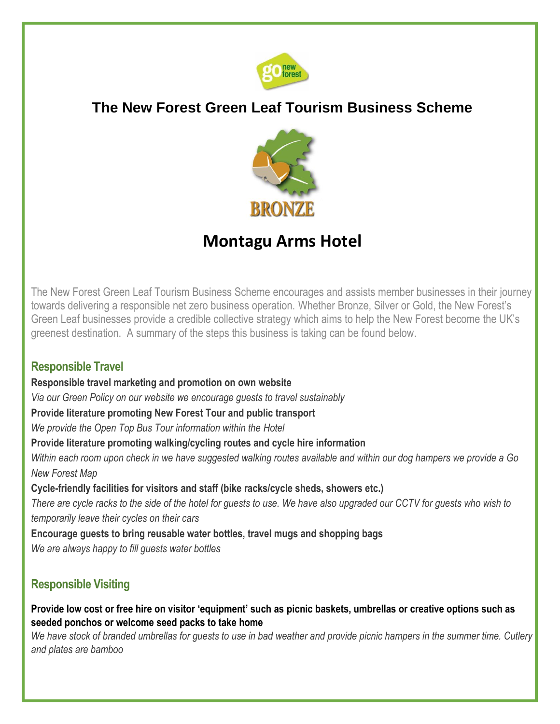

# **The New Forest Green Leaf Tourism Business Scheme**



# **Montagu Arms Hotel**

The New Forest Green Leaf Tourism Business Scheme encourages and assists member businesses in their journey towards delivering a responsible net zero business operation. Whether Bronze, Silver or Gold, the New Forest's Green Leaf businesses provide a credible collective strategy which aims to help the New Forest become the UK's greenest destination. A summary of the steps this business is taking can be found below.

### **Responsible Travel**

**Responsible travel marketing and promotion on own website** 

*Via our Green Policy on our website we encourage guests to travel sustainably*

**Provide literature promoting New Forest Tour and public transport** 

*We provide the Open Top Bus Tour information within the Hotel*

**Provide literature promoting walking/cycling routes and cycle hire information** 

*Within each room upon check in we have suggested walking routes available and within our dog hampers we provide a Go New Forest Map*

**Cycle-friendly facilities for visitors and staff (bike racks/cycle sheds, showers etc.)**

*There are cycle racks to the side of the hotel for guests to use. We have also upgraded our CCTV for guests who wish to temporarily leave their cycles on their cars*

**Encourage guests to bring reusable water bottles, travel mugs and shopping bags**

*We are always happy to fill guests water bottles*

# **Responsible Visiting**

**Provide low cost or free hire on visitor 'equipment' such as picnic baskets, umbrellas or creative options such as seeded ponchos or welcome seed packs to take home** 

*We have stock of branded umbrellas for guests to use in bad weather and provide picnic hampers in the summer time. Cutlery and plates are bamboo*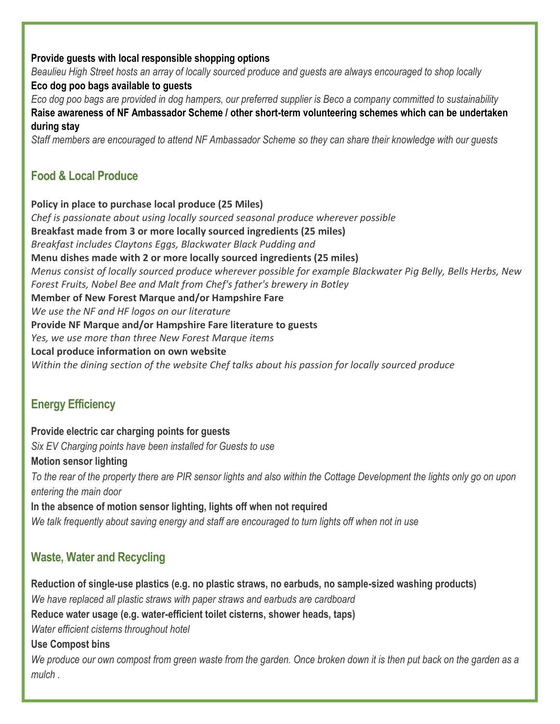#### **Provide guests with local responsible shopping options**

*Beaulieu High Street hosts an array of locally sourced produce and guests are always encouraged to shop locally* **Eco dog poo bags available to guests** 

*Eco dog poo bags are provided in dog hampers, our preferred supplier is Beco a company committed to sustainability* **Raise awareness of NF Ambassador Scheme / other short-term volunteering schemes which can be undertaken during stay** 

*Staff members are encouraged to attend NF Ambassador Scheme so they can share their knowledge with our guests*

# **Food & Local Produce**

**Policy in place to purchase local produce (25 Miles)** *Chef is passionate about using locally sourced seasonal produce wherever possible* **Breakfast made from 3 or more locally sourced ingredients (25 miles)**  *Breakfast includes Claytons Eggs, Blackwater Black Pudding and* **Menu dishes made with 2 or more locally sourced ingredients (25 miles)**  *Menus consist of locally sourced produce wherever possible for example Blackwater Pig Belly, Bells Herbs, New Forest Fruits, Nobel Bee and Malt from Chef's father's brewery in Botley* **Member of New Forest Marque and/or Hampshire Fare**  *We use the NF and HF logos on our literature* **Provide NF Marque and/or Hampshire Fare literature to guests**  *Yes, we use more than three New Forest Marque items* **Local produce information on own website**  *Within the dining section of the website Chef talks about his passion for locally sourced produce*

# **Energy Efficiency**

**Provide electric car charging points for guests** *Six EV Charging points have been installed for Guests to use* **Motion sensor lighting**  *To the rear of the property there are PIR sensor lights and also within the Cottage Development the lights only go on upon entering the main door* **In the absence of motion sensor lighting, lights off when not required**  *We talk frequently about saving energy and staff are encouraged to turn lights off when not in use*

# **Waste, Water and Recycling**

**Reduction of single-use plastics (e.g. no plastic straws, no earbuds, no sample-sized washing products)**  *We have replaced all plastic straws with paper straws and earbuds are cardboard* **Reduce water usage (e.g. water-efficient toilet cisterns, shower heads, taps)**  *Water efficient cisterns throughout hotel* **Use Compost bins**  *We produce our own compost from green waste from the garden. Once broken down it is then put back on the garden as a mulch .*